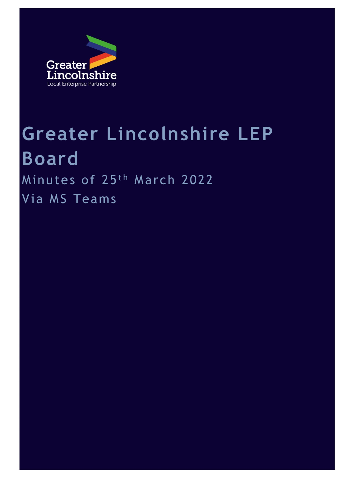

# **Greater Lincolnshire LEP Board** Minutes of 25<sup>th</sup> March 2022 Via MS Teams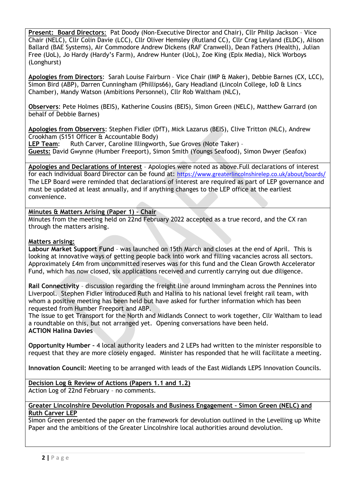**Present: Board Directors**: Pat Doody (Non-Executive Director and Chair), Cllr Philip Jackson – Vice Chair (NELC), Cllr Colin Davie (LCC), Cllr Oliver Hemsley (Rutland CC), Cllr Crag Leyland (ELDC), Alison Ballard (BAE Systems), Air Commodore Andrew Dickens (RAF Cranwell), Dean Fathers (Health), Julian Free (UoL), Jo Hardy (Hardy's Farm), Andrew Hunter (UoL), Zoe King (Epix Media), Nick Worboys (Longhurst)

**Apologies from Directors**: Sarah Louise Fairburn – Vice Chair (IMP & Maker), Debbie Barnes (CX, LCC), Simon Bird (ABP), Darren Cunningham (Phillips66), Gary Headland (Lincoln College, IoD & Lincs Chamber), Mandy Watson (Ambitions Personnel), Cllr Rob Waltham (NLC),

**Observers**: Pete Holmes (BEIS), Katherine Cousins (BEIS), Simon Green (NELC), Matthew Garrard (on behalf of Debbie Barnes)

**Apologies from Observers**: Stephen Fidler (DfT), Mick Lazarus (BEIS), Clive Tritton (NLC), Andrew Crookham (S151 Officer & Accountable Body)

**LEP Team**: Ruth Carver, Caroline Illingworth, Sue Groves (Note Taker) – **Guests:** David Gwynne (Humber Freeport), Simon Smith (Youngs Seafood), Simon Dwyer (Seafox)

**Apologies and Declarations of Interest** – Apologies were noted as above.Full declarations of interest for each individual Board Director can be found at: <https://www.greaterlincolnshirelep.co.uk/about/boards/> The LEP Board were reminded that declarations of interest are required as part of LEP governance and must be updated at least annually, and if anything changes to the LEP office at the earliest convenience.

## **Minutes & Matters Arising (Paper 1) – Chair**

Minutes from the meeting held on 22nd February 2022 accepted as a true record, and the CX ran through the matters arising.

#### **Matters arising:**

**Labour Market Support Fund** – was launched on 15th March and closes at the end of April. This is looking at innovative ways of getting people back into work and filling vacancies across all sectors. Approximately £4m from uncommitted reserves was for this fund and the Clean Growth Accelerator Fund, which has now closed, six applications received and currently carrying out due diligence.

**Rail Connectivity** – discussion regarding the freight line around Immingham across the Pennines into Liverpool. Stephen Fidler introduced Ruth and Halina to his national level freight rail team, with whom a positive meeting has been held but have asked for further information which has been requested from Humber Freeport and ABP.

The issue to get Transport for the North and Midlands Connect to work together, Cllr Waltham to lead a roundtable on this, but not arranged yet. Opening conversations have been held. **ACTION Halina Davies**

**Opportunity Humber –** 4 local authority leaders and 2 LEPs had written to the minister responsible to request that they are more closely engaged. Minister has responded that he will facilitate a meeting.

**Innovation Council:** Meeting to be arranged with leads of the East Midlands LEPS Innovation Councils.

# **Decision Log & Review of Actions (Papers 1.1 and 1.2)**

Action Log of 22nd February – no comments.

#### **Greater Lincolnshire Devolution Proposals and Business Engagement – Simon Green (NELC) and Ruth Carver LEP**

Simon Green presented the paper on the framework for devolution outlined in the Levelling up White Paper and the ambitions of the Greater Lincolnshire local authorities around devolution.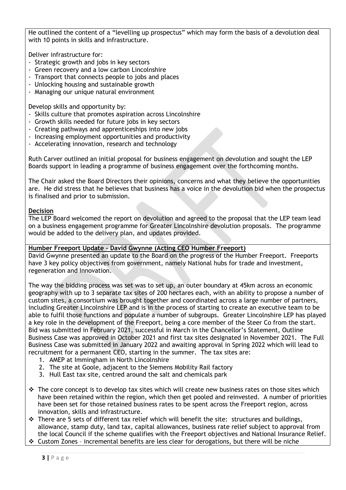He outlined the content of a "levelling up prospectus" which may form the basis of a devolution deal with 10 points in skills and infrastructure.

Deliver infrastructure for:

- Strategic growth and jobs in key sectors
- Green recovery and a low carbon Lincolnshire
- Transport that connects people to jobs and places
- Unlocking housing and sustainable growth
- Managing our unique natural environment

Develop skills and opportunity by:

- Skills culture that promotes aspiration across Lincolnshire
- Growth skills needed for future jobs in key sectors
- Creating pathways and apprenticeships into new jobs
- Increasing employment opportunities and productivity
- Accelerating innovation, research and technology

Ruth Carver outlined an initial proposal for business engagement on devolution and sought the LEP Boards support in leading a programme of business engagement over the forthcoming months.

The Chair asked the Board Directors their opinions, concerns and what they believe the opportunities are. He did stress that he believes that business has a voice in the devolution bid when the prospectus is finalised and prior to submission.

#### **Decision**

The LEP Board welcomed the report on devolution and agreed to the proposal that the LEP team lead on a business engagement programme for Greater Lincolnshire devolution proposals. The programme would be added to the delivery plan, and updates provided.

# **Humber Freeport Update – David Gwynne (Acting CEO Humber Freeport)**

David Gwynne presented an update to the Board on the progress of the Humber Freeport. Freeports have 3 key policy objectives from government, namely National hubs for trade and investment, regeneration and Innovation.

The way the bidding process was set was to set up, an outer boundary at 45km across an economic geography with up to 3 separate tax sites of 200 hectares each, with an ability to propose a number of custom sites, a consortium was brought together and coordinated across a large number of partners, including Greater Lincolnshire LEP and is in the process of starting to create an executive team to be able to fulfil those functions and populate a number of subgroups. Greater Lincolnshire LEP has played a key role in the development of the Freeport, being a core member of the Steer Co from the start. Bid was submitted in February 2021, successful in March in the Chancellor's Statement, Outline Business Case was approved in October 2021 and first tax sites designated in November 2021. The Full Business Case was submitted in January 2022 and awaiting approval in Spring 2022 which will lead to recruitment for a permanent CEO, starting in the summer. The tax sites are:

- 1. AMEP at Immingham in North Lincolnshire
- 2. The site at Goole, adjacent to the Siemens Mobility Rail factory
- 3. Hull East tax site, centred around the salt and chemicals park
- ❖ The core concept is to develop tax sites which will create new business rates on those sites which have been retained within the region, which then get pooled and reinvested. A number of priorities have been set for those retained business rates to be spent across the Freeport region, across innovation, skills and infrastructure.
- ❖ There are 5 sets of different tax relief which will benefit the site: structures and buildings, allowance, stamp duty, land tax, capital allowances, business rate relief subject to approval from the local Council if the scheme qualifies with the Freeport objectives and National Insurance Relief.
- ❖ Custom Zones incremental benefits are less clear for derogations, but there will be niche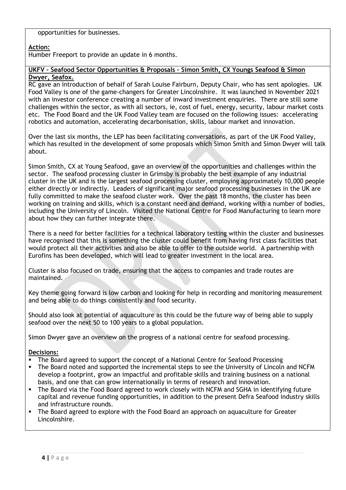#### opportunities for businesses.

**Action:**

Humber Freeport to provide an update in 6 months.

#### **UKFV – Seafood Sector Opportunities & Proposals – Simon Smith, CX Youngs Seafood & Simon Dwyer, Seafox.**

RC gave an introduction of behalf of Sarah Louise Fairburn, Deputy Chair, who has sent apologies. UK Food Valley is one of the game-changers for Greater Lincolnshire. It was launched in November 2021 with an investor conference creating a number of inward investment enquiries. There are still some challenges within the sector, as with all sectors, ie, cost of fuel, energy, security, labour market costs etc. The Food Board and the UK Food Valley team are focused on the following issues: accelerating robotics and automation, accelerating decarbonisation, skills, labour market and innovation.

Over the last six months, the LEP has been facilitating conversations, as part of the UK Food Valley, which has resulted in the development of some proposals which Simon Smith and Simon Dwyer will talk about.

Simon Smith, CX at Young Seafood, gave an overview of the opportunities and challenges within the sector. The seafood processing cluster in Grimsby is probably the best example of any industrial cluster in the UK and is the largest seafood processing cluster, employing approximately 10,000 people either directly or indirectly. Leaders of significant major seafood processing businesses in the UK are fully committed to make the seafood cluster work. Over the past 18 months, the cluster has been working on training and skills, which is a constant need and demand, working with a number of bodies, including the University of Lincoln. Visited the National Centre for Food Manufacturing to learn more about how they can further integrate there.

There is a need for better facilities for a technical laboratory testing within the cluster and businesses have recognised that this is something the cluster could benefit from having first class facilities that would protect all their activities and also be able to offer to the outside world. A partnership with Eurofins has been developed, which will lead to greater investment in the local area.

Cluster is also focused on trade, ensuring that the access to companies and trade routes are maintained.

Key theme going forward is low carbon and looking for help in recording and monitoring measurement and being able to do things consistently and food security.

Should also look at potential of aquaculture as this could be the future way of being able to supply seafood over the next 50 to 100 years to a global population.

Simon Dwyer gave an overview on the progress of a national centre for seafood processing.

#### **Decisions:**

- The Board agreed to support the concept of a National Centre for Seafood Processing
- The Board noted and supported the incremental steps to see the University of Lincoln and NCFM develop a footprint, grow an impactful and profitable skills and training business on a national basis, and one that can grow internationally in terms of research and innovation.
- **•** The Board via the Food Board agreed to work closely with NCFM and SGHA in identifying future capital and revenue funding opportunities, in addition to the present Defra Seafood industry skills and infrastructure rounds.
- The Board agreed to explore with the Food Board an approach on aquaculture for Greater Lincolnshire.